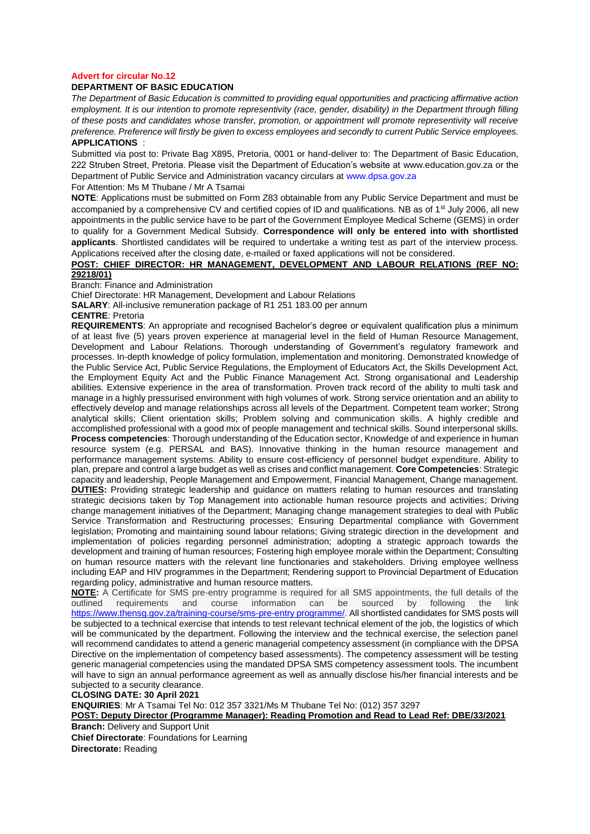### **Advert for circular No.12**

## **DEPARTMENT OF BASIC EDUCATION**

*The Department of Basic Education is committed to providing equal opportunities and practicing affirmative action employment. It is our intention to promote representivity (race, gender, disability) in the Department through filling of these posts and candidates whose transfer, promotion, or appointment will promote representivity will receive preference. Preference will firstly be given to excess employees and secondly to current Public Service employees.*  **APPLICATIONS** :

Submitted via post to: Private Bag X895, Pretoria, 0001 or hand-deliver to: The Department of Basic Education, 222 Struben Street, Pretoria. Please visit the Department of Education's website at www.education.gov.za or the Department of Public Service and Administration vacancy circulars at [www.dpsa.gov.za](http://www.dpsa.gov.za/)

For Attention: Ms M Thubane / Mr A Tsamai

**NOTE**: Applications must be submitted on Form Z83 obtainable from any Public Service Department and must be accompanied by a comprehensive CV and certified copies of ID and qualifications. NB as of 1<sup>st</sup> July 2006, all new appointments in the public service have to be part of the Government Employee Medical Scheme (GEMS) in order to qualify for a Government Medical Subsidy. **Correspondence will only be entered into with shortlisted applicants**. Shortlisted candidates will be required to undertake a writing test as part of the interview process. Applications received after the closing date, e-mailed or faxed applications will not be considered.

### **POST: CHIEF DIRECTOR: HR MANAGEMENT, DEVELOPMENT AND LABOUR RELATIONS (REF NO: 29218/01)**

Branch: Finance and Administration

Chief Directorate: HR Management, Development and Labour Relations

**SALARY**: All-inclusive remuneration package of R1 251 183.00 per annum

#### **CENTRE**: Pretoria

**REQUIREMENTS**: An appropriate and recognised Bachelor's degree or equivalent qualification plus a minimum of at least five (5) years proven experience at managerial level in the field of Human Resource Management, Development and Labour Relations. Thorough understanding of Government's regulatory framework and processes. In-depth knowledge of policy formulation, implementation and monitoring. Demonstrated knowledge of the Public Service Act, Public Service Regulations, the Employment of Educators Act, the Skills Development Act, the Employment Equity Act and the Public Finance Management Act. Strong organisational and Leadership abilities. Extensive experience in the area of transformation. Proven track record of the ability to multi task and manage in a highly pressurised environment with high volumes of work. Strong service orientation and an ability to effectively develop and manage relationships across all levels of the Department. Competent team worker; Strong analytical skills; Client orientation skills; Problem solving and communication skills. A highly credible and accomplished professional with a good mix of people management and technical skills. Sound interpersonal skills. **Process competencies**: Thorough understanding of the Education sector, Knowledge of and experience in human resource system (e.g. PERSAL and BAS). Innovative thinking in the human resource management and performance management systems. Ability to ensure cost-efficiency of personnel budget expenditure. Ability to plan, prepare and control a large budget as well as crises and conflict management. **Core Competencies**: Strategic capacity and leadership, People Management and Empowerment, Financial Management, Change management. **DUTIES:** Providing strategic leadership and guidance on matters relating to human resources and translating strategic decisions taken by Top Management into actionable human resource projects and activities; Driving change management initiatives of the Department; Managing change management strategies to deal with Public Service Transformation and Restructuring processes; Ensuring Departmental compliance with Government legislation; Promoting and maintaining sound labour relations; Giving strategic direction in the development and implementation of policies regarding personnel administration; adopting a strategic approach towards the development and training of human resources; Fostering high employee morale within the Department; Consulting on human resource matters with the relevant line functionaries and stakeholders. Driving employee wellness including EAP and HIV programmes in the Department; Rendering support to Provincial Department of Education regarding policy, administrative and human resource matters.

**NOTE:** A Certificate for SMS pre-entry programme is required for all SMS appointments, the full details of the outlined requirements and course information can be sourced by following the link [https://www.thensg.gov.za/training-course/sms-pre-entry programme/.](https://www.thensg.gov.za/training-course/sms-pre-entry%20programme/) All shortlisted candidates for SMS posts will be subjected to a technical exercise that intends to test relevant technical element of the job, the logistics of which will be communicated by the department. Following the interview and the technical exercise, the selection panel will recommend candidates to attend a generic managerial competency assessment (in compliance with the DPSA Directive on the implementation of competency based assessments). The competency assessment will be testing generic managerial competencies using the mandated DPSA SMS competency assessment tools. The incumbent will have to sign an annual performance agreement as well as annually disclose his/her financial interests and be subjected to a security clearance.

**CLOSING DATE: 30 April 2021** 

**ENQUIRIES**: Mr A Tsamai Tel No: 012 357 3321/Ms M Thubane Tel No: (012) 357 3297

**POST: Deputy Director (Programme Manager): Reading Promotion and Read to Lead Ref: DBE/33/2021 Branch:** Delivery and Support Unit

**Chief Directorate**: Foundations for Learning

**Directorate:** Reading